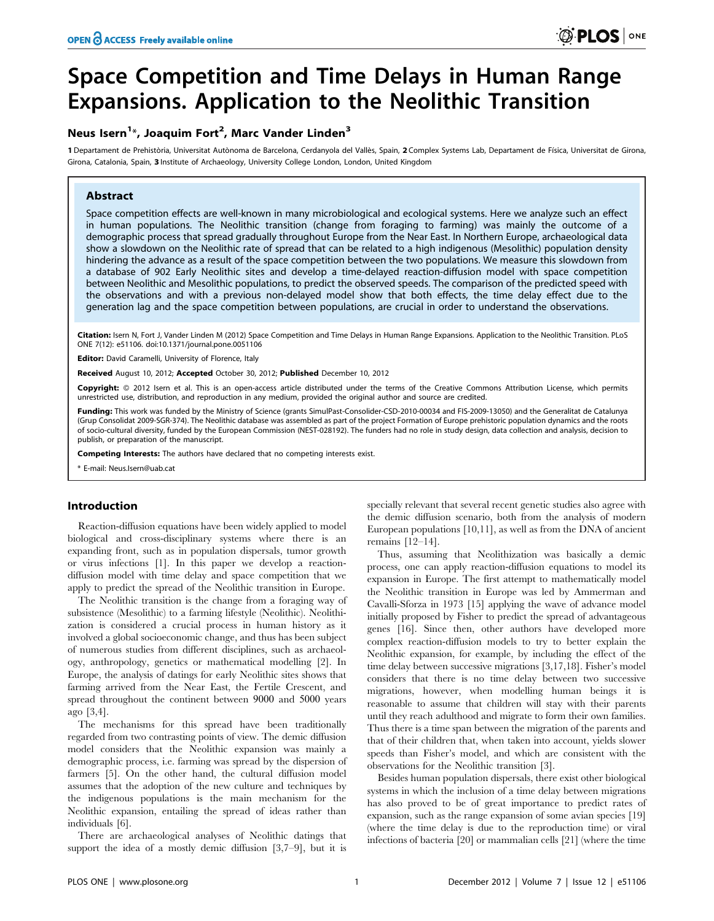# Space Competition and Time Delays in Human Range Expansions. Application to the Neolithic Transition

# Neus Isern<sup>1\*</sup>, Joaquim Fort<sup>2</sup>, Marc Vander Linden<sup>3</sup>

1 Departament de Prehistòria, Universitat Autònoma de Barcelona, Cerdanyola del Vallès, Spain, 2 Complex Systems Lab, Departament de Física, Universitat de Girona, Girona, Catalonia, Spain, 3 Institute of Archaeology, University College London, London, United Kingdom

## Abstract

Space competition effects are well-known in many microbiological and ecological systems. Here we analyze such an effect in human populations. The Neolithic transition (change from foraging to farming) was mainly the outcome of a demographic process that spread gradually throughout Europe from the Near East. In Northern Europe, archaeological data show a slowdown on the Neolithic rate of spread that can be related to a high indigenous (Mesolithic) population density hindering the advance as a result of the space competition between the two populations. We measure this slowdown from a database of 902 Early Neolithic sites and develop a time-delayed reaction-diffusion model with space competition between Neolithic and Mesolithic populations, to predict the observed speeds. The comparison of the predicted speed with the observations and with a previous non-delayed model show that both effects, the time delay effect due to the generation lag and the space competition between populations, are crucial in order to understand the observations.

Citation: Isern N, Fort J, Vander Linden M (2012) Space Competition and Time Delays in Human Range Expansions. Application to the Neolithic Transition. PLoS ONE 7(12): e51106. doi:10.1371/journal.pone.0051106

Editor: David Caramelli, University of Florence, Italy

Received August 10, 2012; Accepted October 30, 2012; Published December 10, 2012

Copyright: © 2012 Isern et al. This is an open-access article distributed under the terms of the Creative Commons Attribution License, which permits unrestricted use, distribution, and reproduction in any medium, provided the original author and source are credited.

Funding: This work was funded by the Ministry of Science (grants SimulPast-Consolider-CSD-2010-00034 and FIS-2009-13050) and the Generalitat de Catalunya (Grup Consolidat 2009-SGR-374). The Neolithic database was assembled as part of the project Formation of Europe prehistoric population dynamics and the roots of socio-cultural diversity, funded by the European Commission (NEST-028192). The funders had no role in study design, data collection and analysis, decision to publish, or preparation of the manuscript.

Competing Interests: The authors have declared that no competing interests exist.

\* E-mail: Neus.Isern@uab.cat

## Introduction

Reaction-diffusion equations have been widely applied to model biological and cross-disciplinary systems where there is an expanding front, such as in population dispersals, tumor growth or virus infections [1]. In this paper we develop a reactiondiffusion model with time delay and space competition that we apply to predict the spread of the Neolithic transition in Europe.

The Neolithic transition is the change from a foraging way of subsistence (Mesolithic) to a farming lifestyle (Neolithic). Neolithization is considered a crucial process in human history as it involved a global socioeconomic change, and thus has been subject of numerous studies from different disciplines, such as archaeology, anthropology, genetics or mathematical modelling [2]. In Europe, the analysis of datings for early Neolithic sites shows that farming arrived from the Near East, the Fertile Crescent, and spread throughout the continent between 9000 and 5000 years ago [3,4].

The mechanisms for this spread have been traditionally regarded from two contrasting points of view. The demic diffusion model considers that the Neolithic expansion was mainly a demographic process, i.e. farming was spread by the dispersion of farmers [5]. On the other hand, the cultural diffusion model assumes that the adoption of the new culture and techniques by the indigenous populations is the main mechanism for the Neolithic expansion, entailing the spread of ideas rather than individuals [6].

There are archaeological analyses of Neolithic datings that support the idea of a mostly demic diffusion [3,7–9], but it is

specially relevant that several recent genetic studies also agree with the demic diffusion scenario, both from the analysis of modern European populations [10,11], as well as from the DNA of ancient remains [12–14].

Thus, assuming that Neolithization was basically a demic process, one can apply reaction-diffusion equations to model its expansion in Europe. The first attempt to mathematically model the Neolithic transition in Europe was led by Ammerman and Cavalli-Sforza in 1973 [15] applying the wave of advance model initially proposed by Fisher to predict the spread of advantageous genes [16]. Since then, other authors have developed more complex reaction-diffusion models to try to better explain the Neolithic expansion, for example, by including the effect of the time delay between successive migrations [3,17,18]. Fisher's model considers that there is no time delay between two successive migrations, however, when modelling human beings it is reasonable to assume that children will stay with their parents until they reach adulthood and migrate to form their own families. Thus there is a time span between the migration of the parents and that of their children that, when taken into account, yields slower speeds than Fisher's model, and which are consistent with the observations for the Neolithic transition [3].

Besides human population dispersals, there exist other biological systems in which the inclusion of a time delay between migrations has also proved to be of great importance to predict rates of expansion, such as the range expansion of some avian species [19] (where the time delay is due to the reproduction time) or viral infections of bacteria [20] or mammalian cells [21] (where the time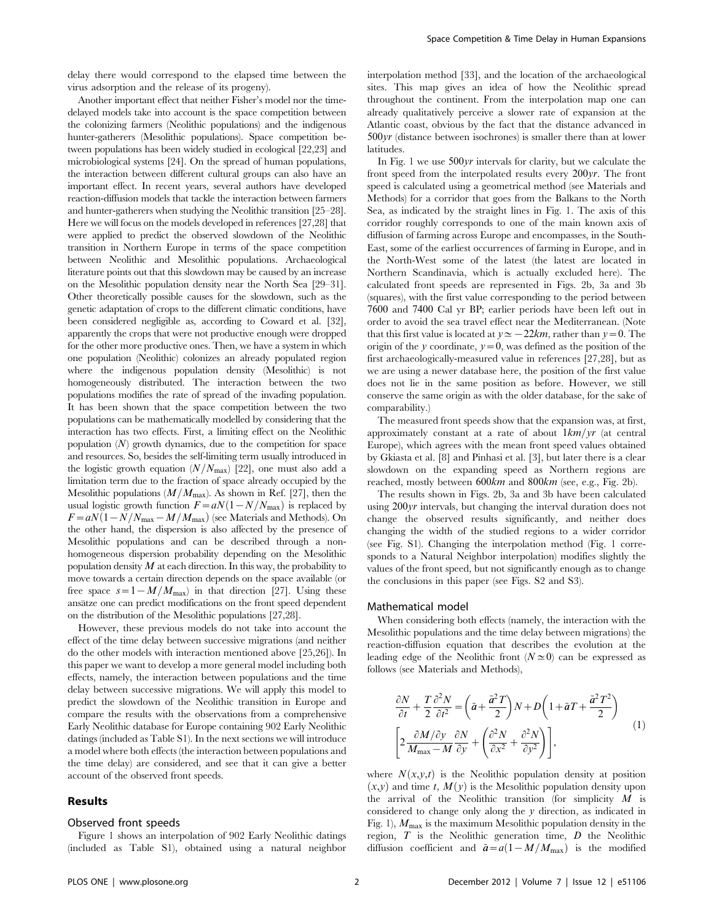Another important effect that neither Fisher's model nor the timedelayed models take into account is the space competition between the colonizing farmers (Neolithic populations) and the indigenous hunter-gatherers (Mesolithic populations). Space competition between populations has been widely studied in ecological [22,23] and microbiological systems [24]. On the spread of human populations, the interaction between different cultural groups can also have an important effect. In recent years, several authors have developed reaction-diffusion models that tackle the interaction between farmers and hunter-gatherers when studying the Neolithic transition [25–28]. Here we will focus on the models developed in references [27,28] that were applied to predict the observed slowdown of the Neolithic transition in Northern Europe in terms of the space competition between Neolithic and Mesolithic populations. Archaeological literature points out that this slowdown may be caused by an increase on the Mesolithic population density near the North Sea [29–31]. Other theoretically possible causes for the slowdown, such as the genetic adaptation of crops to the different climatic conditions, have been considered negligible as, according to Coward et al. [32], apparently the crops that were not productive enough were dropped for the other more productive ones. Then, we have a system in which one population (Neolithic) colonizes an already populated region where the indigenous population density (Mesolithic) is not homogeneously distributed. The interaction between the two populations modifies the rate of spread of the invading population. It has been shown that the space competition between the two populations can be mathematically modelled by considering that the interaction has two effects. First, a limiting effect on the Neolithic population  $(N)$  growth dynamics, due to the competition for space and resources. So, besides the self-limiting term usually introduced in the logistic growth equation  $(N/N_{\text{max}})$  [22], one must also add a limitation term due to the fraction of space already occupied by the Mesolithic populations  $(M/M_{\text{max}})$ . As shown in Ref. [27], then the usual logistic growth function  $F=aN(1-N/N_{\text{max}})$  is replaced by  $F=aN(1-N/N_{\text{max}}-M/M_{\text{max}})$  (see Materials and Methods). On the other hand, the dispersion is also affected by the presence of Mesolithic populations and can be described through a nonhomogeneous dispersion probability depending on the Mesolithic population density  $M$  at each direction. In this way, the probability to move towards a certain direction depends on the space available (or free space  $s=1-M/M_{\text{max}}$  in that direction [27]. Using these ansätze one can predict modifications on the front speed dependent on the distribution of the Mesolithic populations [27,28].

However, these previous models do not take into account the effect of the time delay between successive migrations (and neither do the other models with interaction mentioned above [25,26]). In this paper we want to develop a more general model including both effects, namely, the interaction between populations and the time delay between successive migrations. We will apply this model to predict the slowdown of the Neolithic transition in Europe and compare the results with the observations from a comprehensive Early Neolithic database for Europe containing 902 Early Neolithic datings (included as Table S1). In the next sections we will introduce a model where both effects (the interaction between populations and the time delay) are considered, and see that it can give a better account of the observed front speeds.

## Results

#### Observed front speeds

Figure 1 shows an interpolation of 902 Early Neolithic datings (included as Table S1), obtained using a natural neighbor

interpolation method [33], and the location of the archaeological sites. This map gives an idea of how the Neolithic spread throughout the continent. From the interpolation map one can already qualitatively perceive a slower rate of expansion at the Atlantic coast, obvious by the fact that the distance advanced in 500yr (distance between isochrones) is smaller there than at lower latitudes.

In Fig. 1 we use 500yr intervals for clarity, but we calculate the front speed from the interpolated results every 200yr. The front speed is calculated using a geometrical method (see Materials and Methods) for a corridor that goes from the Balkans to the North Sea, as indicated by the straight lines in Fig. 1. The axis of this corridor roughly corresponds to one of the main known axis of diffusion of farming across Europe and encompasses, in the South-East, some of the earliest occurrences of farming in Europe, and in the North-West some of the latest (the latest are located in Northern Scandinavia, which is actually excluded here). The calculated front speeds are represented in Figs. 2b, 3a and 3b (squares), with the first value corresponding to the period between 7600 and 7400 Cal yr BP; earlier periods have been left out in order to avoid the sea travel effect near the Mediterranean. (Note that this first value is located at  $y \approx -22km$ , rather than  $y=0$ . The origin of the y coordinate,  $y=0$ , was defined as the position of the first archaeologically-measured value in references [27,28], but as we are using a newer database here, the position of the first value does not lie in the same position as before. However, we still conserve the same origin as with the older database, for the sake of comparability.)

The measured front speeds show that the expansion was, at first, approximately constant at a rate of about  $1km/yr$  (at central Europe), which agrees with the mean front speed values obtained by Gkiasta et al. [8] and Pinhasi et al. [3], but later there is a clear slowdown on the expanding speed as Northern regions are reached, mostly between 600km and 800km (see, e.g., Fig. 2b).

The results shown in Figs. 2b, 3a and 3b have been calculated using 200yr intervals, but changing the interval duration does not change the observed results significantly, and neither does changing the width of the studied regions to a wider corridor (see Fig. S1). Changing the interpolation method (Fig. 1 corresponds to a Natural Neighbor interpolation) modifies slightly the values of the front speed, but not significantly enough as to change the conclusions in this paper (see Figs. S2 and S3).

#### Mathematical model

When considering both effects (namely, the interaction with the Mesolithic populations and the time delay between migrations) the reaction-diffusion equation that describes the evolution at the leading edge of the Neolithic front  $(N \simeq 0)$  can be expressed as follows (see Materials and Methods),

$$
\frac{\partial N}{\partial t} + \frac{T}{2} \frac{\partial^2 N}{\partial t^2} = \left(\tilde{a} + \frac{\tilde{a}^2 T}{2}\right) N + D \left(1 + \tilde{a}T + \frac{\tilde{a}^2 T^2}{2}\right)
$$
\n
$$
\left[2 \frac{\partial M / \partial y}{M_{\text{max}} - M} \frac{\partial N}{\partial y} + \left(\frac{\partial^2 N}{\partial x^2} + \frac{\partial^2 N}{\partial y^2}\right)\right],
$$
\n(1)

where  $N(x, y, t)$  is the Neolithic population density at position  $(x, y)$  and time t,  $M(y)$  is the Mesolithic population density upon the arrival of the Neolithic transition (for simplicity  $M$  is considered to change only along the y direction, as indicated in Fig. 1),  $M_{\text{max}}$  is the maximum Mesolithic population density in the region,  $T$  is the Neolithic generation time,  $D$  the Neolithic diffusion coefficient and  $\tilde{a}=a(1-M/M_{\text{max}})$  is the modified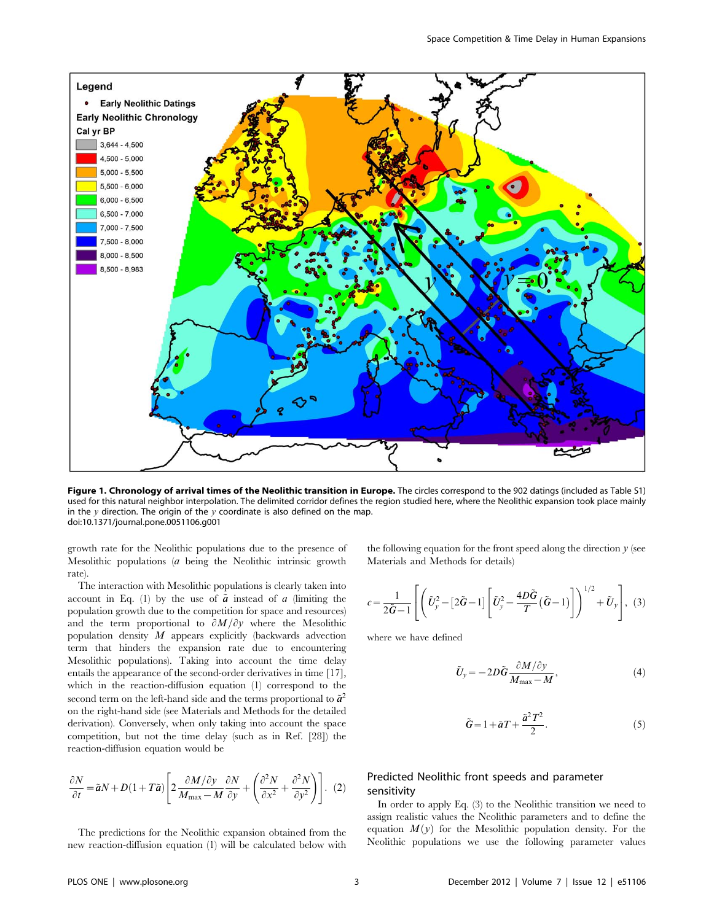

Figure 1. Chronology of arrival times of the Neolithic transition in Europe. The circles correspond to the 902 datings (included as Table S1) used for this natural neighbor interpolation. The delimited corridor defines the region studied here, where the Neolithic expansion took place mainly in the  $y$  direction. The origin of the  $y$  coordinate is also defined on the map. doi:10.1371/journal.pone.0051106.g001

growth rate for the Neolithic populations due to the presence of Mesolithic populations (a being the Neolithic intrinsic growth rate).

The interaction with Mesolithic populations is clearly taken into account in Eq. (1) by the use of  $\tilde{a}$  instead of a (limiting the population growth due to the competition for space and resources) and the term proportional to  $\partial M/\partial y$  where the Mesolithic population density  $M$  appears explicitly (backwards advection term that hinders the expansion rate due to encountering Mesolithic populations). Taking into account the time delay entails the appearance of the second-order derivatives in time [17], which in the reaction-diffusion equation (1) correspond to the second term on the left-hand side and the terms proportional to  $\tilde{a}^2$ on the right-hand side (see Materials and Methods for the detailed derivation). Conversely, when only taking into account the space competition, but not the time delay (such as in Ref. [28]) the reaction-diffusion equation would be

$$
\frac{\partial N}{\partial t} = \tilde{a}N + D(1 + T\tilde{a}) \left[ 2 \frac{\partial M/\partial y}{M_{\text{max}} - M} \frac{\partial N}{\partial y} + \left( \frac{\partial^2 N}{\partial x^2} + \frac{\partial^2 N}{\partial y^2} \right) \right].
$$
 (2)

The predictions for the Neolithic expansion obtained from the new reaction-diffusion equation (1) will be calculated below with the following equation for the front speed along the direction  $y$  (see Materials and Methods for details)

$$
c = \frac{1}{2\tilde{G}-1} \left[ \left( \tilde{U}_y^2 - \left[ 2\tilde{G} - 1 \right] \left[ \tilde{U}_y^2 - \frac{4D\tilde{G}}{T} \left( \tilde{G} - 1 \right) \right] \right)^{1/2} + \tilde{U}_y \right], (3)
$$

where we have defined

$$
\tilde{U}_y = -2D\tilde{G}\frac{\partial M/\partial y}{M_{\text{max}} - M},\tag{4}
$$

$$
\tilde{G} = 1 + \tilde{a}T + \frac{\tilde{a}^2T^2}{2}.
$$
\n<sup>(5)</sup>

# Predicted Neolithic front speeds and parameter sensitivity

In order to apply Eq. (3) to the Neolithic transition we need to assign realistic values the Neolithic parameters and to define the equation  $M(y)$  for the Mesolithic population density. For the Neolithic populations we use the following parameter values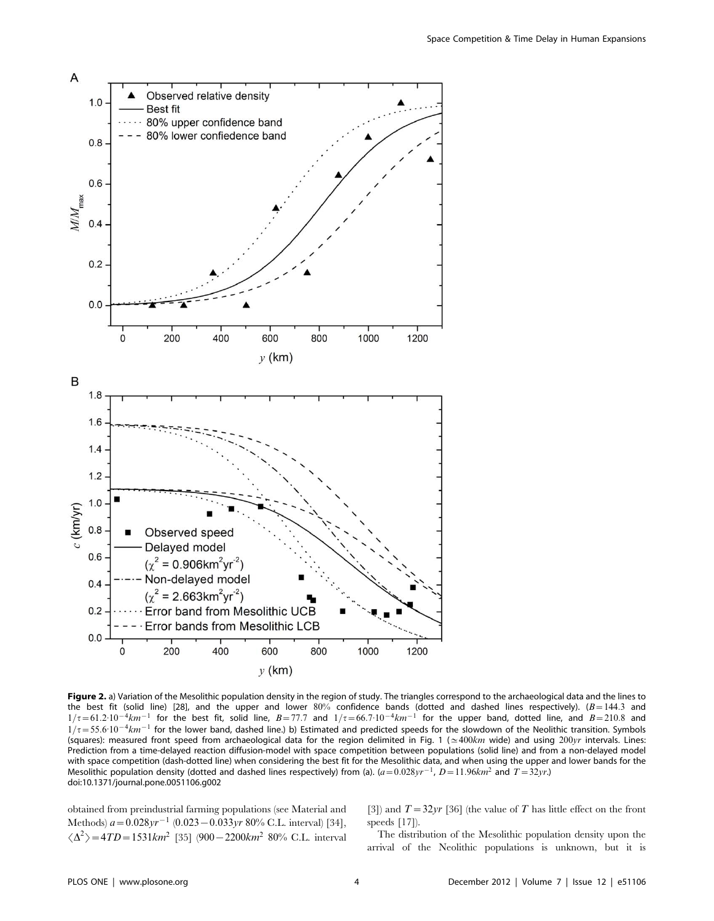

Figure 2. a) Variation of the Mesolithic population density in the region of study. The triangles correspond to the archaeological data and the lines to the best fit (solid line) [28], and the upper and lower  $80\%$  confidence bands (dotted and dashed lines respectively). ( $B=144.3$  and  $1/\tau$  = 61.2:10<sup>-4</sup> $km^{-1}$  for the best fit, solid line, B=77.7 and  $1/\tau$  = 66.7:10<sup>-4</sup> $km^{-1}$  for the upper band, dotted line, and B=210.8 and  $1/\tau$  = 55.6 $10^{-4}$ km<sup>-1</sup> for the lower band, dashed line.) b) Estimated and predicted speeds for the slowdown of the Neolithic transition. Symbols (squares): measured front speed from archaeological data for the region delimited in Fig. 1 ( $\approx$  400km wide) and using 200yr intervals. Lines: Prediction from a time-delayed reaction diffusion-model with space competition between populations (solid line) and from a non-delayed model with space competition (dash-dotted line) when considering the best fit for the Mesolithic data, and when using the upper and lower bands for the Mesolithic population density (dotted and dashed lines respectively) from (a).  $(a=0.028yr^{-1}, D=11.96km^2$  and  $T=32yr$ .) doi:10.1371/journal.pone.0051106.g002

obtained from preindustrial farming populations (see Material and Methods)  $a=0.028yr^{-1}$  (0.023 - 0.033yr 80% C.L. interval) [34],  $\langle \Delta^2 \rangle$  = 4TD = 1531km<sup>2</sup> [35] (900 – 2200km<sup>2</sup> 80% C.L. interval

[3]) and  $T=32yr$  [36] (the value of T has little effect on the front speeds [17]).

The distribution of the Mesolithic population density upon the arrival of the Neolithic populations is unknown, but it is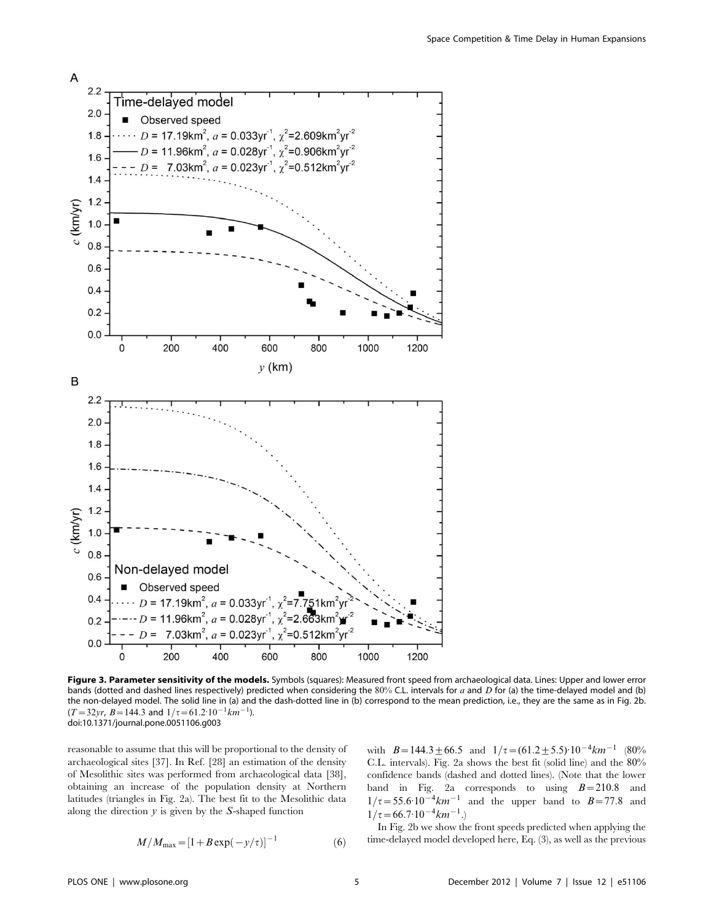

Figure 3. Parameter sensitivity of the models. Symbols (squares): Measured front speed from archaeological data. Lines: Upper and lower error bands (dotted and dashed lines respectively) predicted when considering the 80% C.L. intervals for a and D for (a) the time-delayed model and (b) the non-delayed model. The solid line in (a) and the dash-dotted line in (b) correspond to the mean prediction, i.e., they are the same as in Fig. 2b.  $(T=32yr, B=144.3$  and  $1/\tau=61.2\cdot10^{-1}km^{-1}$ ). doi:10.1371/journal.pone.0051106.g003

reasonable to assume that this will be proportional to the density of archaeological sites [37]. In Ref. [28] an estimation of the density of Mesolithic sites was performed from archaeological data [38], obtaining an increase of the population density at Northern latitudes (triangles in Fig. 2a). The best fit to the Mesolithic data along the direction  $y$  is given by the S-shaped function

$$
M/M_{\text{max}} = [1 + B \exp(-y/\tau)]^{-1}
$$
 (6)

with  $B=144.3\pm66.5$  and  $1/\tau=(61.2\pm5.5)\cdot10^{-4}km^{-1}$  (80%) C.L. intervals). Fig. 2a shows the best fit (solid line) and the 80% confidence bands (dashed and dotted lines). (Note that the lower band in Fig. 2a corresponds to using  $B=210.8$  and  $1/\tau = 55.6 \cdot 10^{-4} km^{-1}$  and the upper band to  $B=77.8$  and  $1/\tau$  = 66.7:10<sup>-4</sup> $km^{-1}$ .

In Fig. 2b we show the front speeds predicted when applying the time-delayed model developed here, Eq. (3), as well as the previous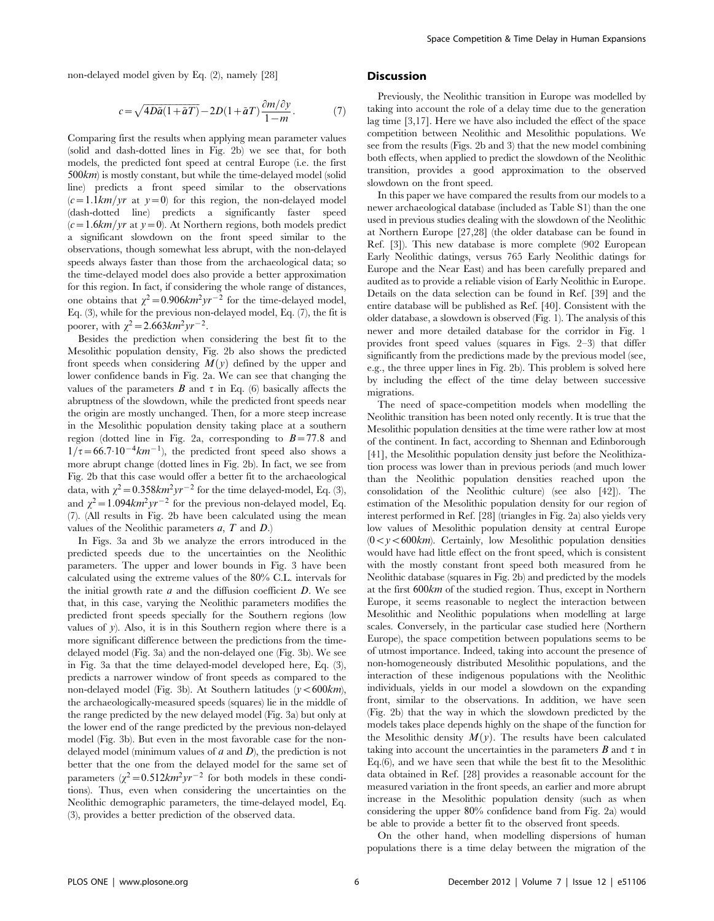non-delayed model given by Eq. (2), namely [28]

$$
c = \sqrt{4D\tilde{a}(1+\tilde{a}T)} - 2D(1+\tilde{a}T)\frac{\partial m/\partial y}{1-m}.
$$
 (7)

Comparing first the results when applying mean parameter values (solid and dash-dotted lines in Fig. 2b) we see that, for both models, the predicted font speed at central Europe (i.e. the first 500km) is mostly constant, but while the time-delayed model (solid line) predicts a front speed similar to the observations  $(c=1.1km/yr$  at  $y=0$ ) for this region, the non-delayed model (dash-dotted line) predicts a significantly faster speed  $(c=1.6km/yr$  at  $y=0$ ). At Northern regions, both models predict a significant slowdown on the front speed similar to the observations, though somewhat less abrupt, with the non-delayed speeds always faster than those from the archaeological data; so the time-delayed model does also provide a better approximation for this region. In fact, if considering the whole range of distances, one obtains that  $\chi^2$  = 0.906km<sup>2</sup>yr<sup>-2</sup> for the time-delayed model, Eq. (3), while for the previous non-delayed model, Eq. (7), the fit is poorer, with  $\chi^2$  = 2.663km<sup>2</sup> yr<sup>-2</sup>.

Besides the prediction when considering the best fit to the Mesolithic population density, Fig. 2b also shows the predicted front speeds when considering  $M(y)$  defined by the upper and lower confidence bands in Fig. 2a. We can see that changing the values of the parameters  $\bm{B}$  and  $\tau$  in Eq. (6) basically affects the abruptness of the slowdown, while the predicted front speeds near the origin are mostly unchanged. Then, for a more steep increase in the Mesolithic population density taking place at a southern region (dotted line in Fig. 2a, corresponding to  $B=77.8$  and  $1/\tau$  = 66.7:10<sup>-4</sup> $km$ <sup>-1</sup>), the predicted front speed also shows a more abrupt change (dotted lines in Fig. 2b). In fact, we see from Fig. 2b that this case would offer a better fit to the archaeological data, with  $\chi^2 = 0.358 \text{km}^2 \text{yr}^{-2}$  for the time delayed-model, Eq. (3), and  $\chi^2$  = 1.094km<sup>2</sup>yr<sup>-2</sup> for the previous non-delayed model, Eq. (7). (All results in Fig. 2b have been calculated using the mean values of the Neolithic parameters  $a, T$  and  $D$ .)

In Figs. 3a and 3b we analyze the errors introduced in the predicted speeds due to the uncertainties on the Neolithic parameters. The upper and lower bounds in Fig. 3 have been calculated using the extreme values of the 80% C.L. intervals for the initial growth rate  $a$  and the diffusion coefficient  $D$ . We see that, in this case, varying the Neolithic parameters modifies the predicted front speeds specially for the Southern regions (low values of y). Also, it is in this Southern region where there is a more significant difference between the predictions from the timedelayed model (Fig. 3a) and the non-delayed one (Fig. 3b). We see in Fig. 3a that the time delayed-model developed here, Eq. (3), predicts a narrower window of front speeds as compared to the non-delayed model (Fig. 3b). At Southern latitudes  $(y<600km)$ , the archaeologically-measured speeds (squares) lie in the middle of the range predicted by the new delayed model (Fig. 3a) but only at the lower end of the range predicted by the previous non-delayed model (Fig. 3b). But even in the most favorable case for the nondelayed model (minimum values of  $a$  and  $D$ ), the prediction is not better that the one from the delayed model for the same set of parameters  $(\chi^2 = 0.512km^2yr^{-2}$  for both models in these conditions). Thus, even when considering the uncertainties on the Neolithic demographic parameters, the time-delayed model, Eq. (3), provides a better prediction of the observed data.

#### **Discussion**

Previously, the Neolithic transition in Europe was modelled by taking into account the role of a delay time due to the generation lag time [3,17]. Here we have also included the effect of the space competition between Neolithic and Mesolithic populations. We see from the results (Figs. 2b and 3) that the new model combining both effects, when applied to predict the slowdown of the Neolithic transition, provides a good approximation to the observed slowdown on the front speed.

In this paper we have compared the results from our models to a newer archaeological database (included as Table S1) than the one used in previous studies dealing with the slowdown of the Neolithic at Northern Europe [27,28] (the older database can be found in Ref. [3]). This new database is more complete (902 European Early Neolithic datings, versus 765 Early Neolithic datings for Europe and the Near East) and has been carefully prepared and audited as to provide a reliable vision of Early Neolithic in Europe. Details on the data selection can be found in Ref. [39] and the entire database will be published as Ref. [40]. Consistent with the older database, a slowdown is observed (Fig. 1). The analysis of this newer and more detailed database for the corridor in Fig. 1 provides front speed values (squares in Figs. 2–3) that differ significantly from the predictions made by the previous model (see, e.g., the three upper lines in Fig. 2b). This problem is solved here by including the effect of the time delay between successive migrations.

The need of space-competition models when modelling the Neolithic transition has been noted only recently. It is true that the Mesolithic population densities at the time were rather low at most of the continent. In fact, according to Shennan and Edinborough [41], the Mesolithic population density just before the Neolithization process was lower than in previous periods (and much lower than the Neolithic population densities reached upon the consolidation of the Neolithic culture) (see also [42]). The estimation of the Mesolithic population density for our region of interest performed in Ref. [28] (triangles in Fig. 2a) also yields very low values of Mesolithic population density at central Europe  $(0 < y < 600km)$ . Certainly, low Mesolithic population densities would have had little effect on the front speed, which is consistent with the mostly constant front speed both measured from he Neolithic database (squares in Fig. 2b) and predicted by the models at the first 600km of the studied region. Thus, except in Northern Europe, it seems reasonable to neglect the interaction between Mesolithic and Neolithic populations when modelling at large scales. Conversely, in the particular case studied here (Northern Europe), the space competition between populations seems to be of utmost importance. Indeed, taking into account the presence of non-homogeneously distributed Mesolithic populations, and the interaction of these indigenous populations with the Neolithic individuals, yields in our model a slowdown on the expanding front, similar to the observations. In addition, we have seen (Fig. 2b) that the way in which the slowdown predicted by the models takes place depends highly on the shape of the function for the Mesolithic density  $M(y)$ . The results have been calculated taking into account the uncertainties in the parameters  $B$  and  $\tau$  in Eq.(6), and we have seen that while the best fit to the Mesolithic data obtained in Ref. [28] provides a reasonable account for the measured variation in the front speeds, an earlier and more abrupt increase in the Mesolithic population density (such as when considering the upper 80% confidence band from Fig. 2a) would be able to provide a better fit to the observed front speeds.

On the other hand, when modelling dispersions of human populations there is a time delay between the migration of the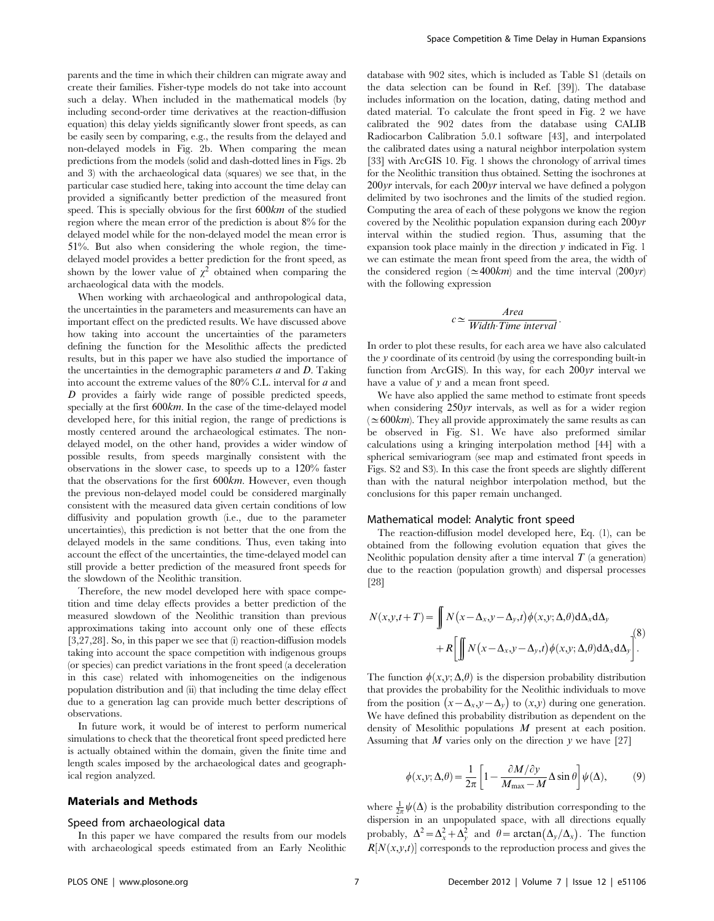parents and the time in which their children can migrate away and create their families. Fisher-type models do not take into account such a delay. When included in the mathematical models (by including second-order time derivatives at the reaction-diffusion equation) this delay yields significantly slower front speeds, as can be easily seen by comparing, e.g., the results from the delayed and non-delayed models in Fig. 2b. When comparing the mean predictions from the models (solid and dash-dotted lines in Figs. 2b and 3) with the archaeological data (squares) we see that, in the particular case studied here, taking into account the time delay can provided a significantly better prediction of the measured front speed. This is specially obvious for the first 600km of the studied region where the mean error of the prediction is about 8% for the delayed model while for the non-delayed model the mean error is 51%. But also when considering the whole region, the timedelayed model provides a better prediction for the front speed, as shown by the lower value of  $\chi^2$  obtained when comparing the archaeological data with the models.

When working with archaeological and anthropological data, the uncertainties in the parameters and measurements can have an important effect on the predicted results. We have discussed above how taking into account the uncertainties of the parameters defining the function for the Mesolithic affects the predicted results, but in this paper we have also studied the importance of the uncertainties in the demographic parameters  $a$  and  $D$ . Taking into account the extreme values of the 80% C.L. interval for a and D provides a fairly wide range of possible predicted speeds, specially at the first 600km. In the case of the time-delayed model developed here, for this initial region, the range of predictions is mostly centered around the archaeological estimates. The nondelayed model, on the other hand, provides a wider window of possible results, from speeds marginally consistent with the observations in the slower case, to speeds up to a 120% faster that the observations for the first 600km. However, even though the previous non-delayed model could be considered marginally consistent with the measured data given certain conditions of low diffusivity and population growth (i.e., due to the parameter uncertainties), this prediction is not better that the one from the delayed models in the same conditions. Thus, even taking into account the effect of the uncertainties, the time-delayed model can still provide a better prediction of the measured front speeds for the slowdown of the Neolithic transition.

Therefore, the new model developed here with space competition and time delay effects provides a better prediction of the measured slowdown of the Neolithic transition than previous approximations taking into account only one of these effects [3,27,28]. So, in this paper we see that (i) reaction-diffusion models taking into account the space competition with indigenous groups (or species) can predict variations in the front speed (a deceleration in this case) related with inhomogeneities on the indigenous population distribution and (ii) that including the time delay effect due to a generation lag can provide much better descriptions of observations.

In future work, it would be of interest to perform numerical simulations to check that the theoretical front speed predicted here is actually obtained within the domain, given the finite time and length scales imposed by the archaeological dates and geographical region analyzed.

### Materials and Methods

#### Speed from archaeological data

In this paper we have compared the results from our models with archaeological speeds estimated from an Early Neolithic database with 902 sites, which is included as Table S1 (details on the data selection can be found in Ref. [39]). The database includes information on the location, dating, dating method and dated material. To calculate the front speed in Fig. 2 we have calibrated the 902 dates from the database using CALIB Radiocarbon Calibration 5.0.1 software [43], and interpolated the calibrated dates using a natural neighbor interpolation system [33] with ArcGIS 10. Fig. 1 shows the chronology of arrival times for the Neolithic transition thus obtained. Setting the isochrones at  $200\gamma r$  intervals, for each  $200\gamma r$  interval we have defined a polygon delimited by two isochrones and the limits of the studied region. Computing the area of each of these polygons we know the region covered by the Neolithic population expansion during each 200yr interval within the studied region. Thus, assuming that the expansion took place mainly in the direction  $y$  indicated in Fig. 1 we can estimate the mean front speed from the area, the width of the considered region ( $\simeq$  400km) and the time interval (200yr) with the following expression

# $c \simeq \frac{Area}{Width \cdot Time \; interval}.$

In order to plot these results, for each area we have also calculated the y coordinate of its centroid (by using the corresponding built-in function from ArcGIS). In this way, for each 200yr interval we have a value of  $y$  and a mean front speed.

We have also applied the same method to estimate front speeds when considering 250yr intervals, as well as for a wider region  $(\simeq 600km)$ . They all provide approximately the same results as can be observed in Fig. S1. We have also preformed similar calculations using a kringing interpolation method [44] with a spherical semivariogram (see map and estimated front speeds in Figs. S2 and S3). In this case the front speeds are slightly different than with the natural neighbor interpolation method, but the conclusions for this paper remain unchanged.

### Mathematical model: Analytic front speed

The reaction-diffusion model developed here, Eq. (1), can be obtained from the following evolution equation that gives the Neolithic population density after a time interval  $T$  (a generation) due to the reaction (population growth) and dispersal processes [28]

$$
N(x, y, t+T) = \iint N(x - \Delta_x, y - \Delta_y, t) \phi(x, y; \Delta, \theta) d\Delta_x d\Delta_y
$$

$$
+ R \left[ \iint N(x - \Delta_x, y - \Delta_y, t) \phi(x, y; \Delta, \theta) d\Delta_x d\Delta_y \right]^{\text{(8)}}
$$

The function  $\phi(x, y; \Delta, \theta)$  is the dispersion probability distribution that provides the probability for the Neolithic individuals to move from the position  $(x - \Delta_x, y - \Delta_y)$  to  $(x, y)$  during one generation. We have defined this probability distribution as dependent on the density of Mesolithic populations M present at each position. Assuming that  $M$  varies only on the direction  $y$  we have [27]

$$
\phi(x, y; \Delta, \theta) = \frac{1}{2\pi} \left[ 1 - \frac{\partial M / \partial y}{M_{\text{max}} - M} \Delta \sin \theta \right] \psi(\Delta), \tag{9}
$$

where  $\frac{1}{2\pi}\psi(\Delta)$  is the probability distribution corresponding to the dispersion in an unpopulated space, with all directions equally probably,  $\Delta^2 = \Delta_x^2 + \Delta_y^2$  and  $\theta = \arctan(\Delta_y/\Delta_x)$ . The function  $R[N(x, y, t)]$  corresponds to the reproduction process and gives the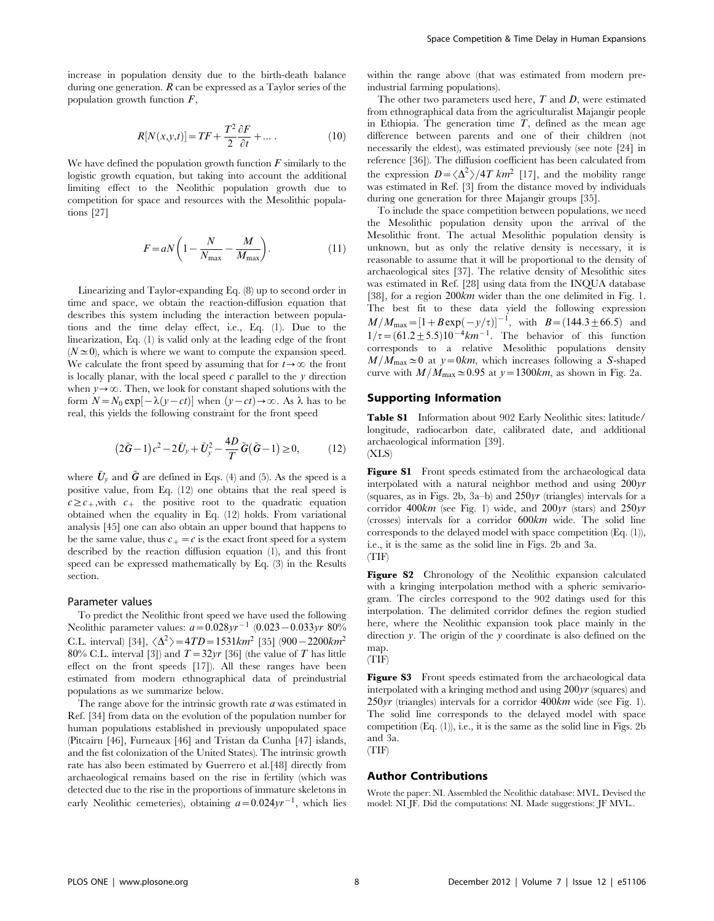increase in population density due to the birth-death balance during one generation.  $R$  can be expressed as a Taylor series of the population growth function  $F$ ,

$$
R[N(x, y, t)] = TF + \frac{T^2}{2} \frac{\partial F}{\partial t} + \dots
$$
 (10)

We have defined the population growth function  $F$  similarly to the logistic growth equation, but taking into account the additional limiting effect to the Neolithic population growth due to competition for space and resources with the Mesolithic populations [27]

$$
F = aN\left(1 - \frac{N}{N_{\text{max}}} - \frac{M}{M_{\text{max}}}\right). \tag{11}
$$

Linearizing and Taylor-expanding Eq. (8) up to second order in time and space, we obtain the reaction-diffusion equation that describes this system including the interaction between populations and the time delay effect, i.e., Eq. (1). Due to the linearization, Eq. (1) is valid only at the leading edge of the front  $(N \simeq 0)$ , which is where we want to compute the expansion speed. We calculate the front speed by assuming that for  $t \rightarrow \infty$  the front is locally planar, with the local speed  $c$  parallel to the  $y$  direction when  $y \rightarrow \infty$ . Then, we look for constant shaped solutions with the form  $N = N_0 \exp[-\lambda(y-ct)]$  when  $(y-ct) \rightarrow \infty$ . As  $\lambda$  has to be real, this yields the following constraint for the front speed

$$
(2\tilde{G}-1)c^2 - 2\tilde{U}_y + \tilde{U}_y^2 - \frac{4D}{T}\tilde{G}(\tilde{G}-1) \ge 0, \qquad (12)
$$

where  $\bar{U}_v$  and  $\bar{G}$  are defined in Eqs. (4) and (5). As the speed is a positive value, from Eq. (12) one obtains that the real speed is  $c \geq c_+$ , with  $c_+$  the positive root to the quadratic equation obtained when the equality in Eq. (12) holds. From variational analysis [45] one can also obtain an upper bound that happens to be the same value, thus  $c_{+} = c$  is the exact front speed for a system described by the reaction diffusion equation (1), and this front speed can be expressed mathematically by Eq. (3) in the Results section.

## Parameter values

To predict the Neolithic front speed we have used the following Neolithic parameter values:  $a=0.028yr^{-1}$  (0.023 - 0.033yr 80%) C.L. interval) [34],  $\langle \Delta^2 \rangle = 4TD = 1531 km^2$  [35] (900 - 2200km<sup>2</sup> 80% C.L. interval [3]) and  $T=32\gamma r$  [36] (the value of T has little effect on the front speeds [17]). All these ranges have been estimated from modern ethnographical data of preindustrial populations as we summarize below.

The range above for the intrinsic growth rate  $a$  was estimated in Ref. [34] from data on the evolution of the population number for human populations established in previously unpopulated space (Pitcairn [46], Furneaux [46] and Tristan da Cunha [47] islands, and the fist colonization of the United States). The intrinsic growth rate has also been estimated by Guerrero et al.[48] directly from archaeological remains based on the rise in fertility (which was detected due to the rise in the proportions of immature skeletons in early Neolithic cemeteries), obtaining  $a=0.024yr^{-1}$ , which lies within the range above (that was estimated from modern preindustrial farming populations).

The other two parameters used here,  $T$  and  $D$ , were estimated from ethnographical data from the agriculturalist Majangir people in Ethiopia. The generation time  $T$ , defined as the mean age difference between parents and one of their children (not necessarily the eldest), was estimated previously (see note [24] in reference [36]). The diffusion coefficient has been calculated from the expression  $D = \langle \Delta^2 \rangle / 4T$  km<sup>2</sup> [17], and the mobility range was estimated in Ref. [3] from the distance moved by individuals during one generation for three Majangir groups [35].

To include the space competition between populations, we need the Mesolithic population density upon the arrival of the Mesolithic front. The actual Mesolithic population density is unknown, but as only the relative density is necessary, it is reasonable to assume that it will be proportional to the density of archaeological sites [37]. The relative density of Mesolithic sites was estimated in Ref. [28] using data from the INQUA database [38], for a region  $200km$  wider than the one delimited in Fig. 1. The best fit to these data yield the following expression  $M/M_{\text{max}} = [1 + B \exp(-y/\tau)]^{-1}$ , with  $B = (144.3 \pm 66.5)$  and  $1/\tau$  =  $(61.2 \pm 5.5) 10^{-4}$  km<sup>-1</sup>. The behavior of this function corresponds to a relative Mesolithic populations density  $M/M_{\text{max}}\simeq0$  at  $y=0km$ , which increases following a S-shaped curve with  $M/M_{\text{max}}\simeq 0.95$  at  $y=1300km$ , as shown in Fig. 2a.

#### Supporting Information

Table S1 Information about 902 Early Neolithic sites: latitude/ longitude, radiocarbon date, calibrated date, and additional archaeological information [39]. (XLS)

**Figure S1** Front speeds estimated from the archaeological data interpolated with a natural neighbor method and using 200yr (squares, as in Figs. 2b, 3a–b) and 250yr (triangles) intervals for a corridor  $400km$  (see Fig. 1) wide, and  $200yr$  (stars) and  $250yr$ (crosses) intervals for a corridor 600km wide. The solid line corresponds to the delayed model with space competition (Eq. (1)), i.e., it is the same as the solid line in Figs. 2b and 3a. (TIF)

Figure S2 Chronology of the Neolithic expansion calculated with a kringing interpolation method with a spheric semivariogram. The circles correspond to the 902 datings used for this interpolation. The delimited corridor defines the region studied here, where the Neolithic expansion took place mainly in the direction y. The origin of the y coordinate is also defined on the map.



Figure S3 Front speeds estimated from the archaeological data interpolated with a kringing method and using 200yr (squares) and  $250yr$  (triangles) intervals for a corridor  $400km$  wide (see Fig. 1). The solid line corresponds to the delayed model with space competition  $(Eq. (1))$ , i.e., it is the same as the solid line in Figs. 2b and 3a. (TIF)

#### Author Contributions

Wrote the paper: NI. Assembled the Neolithic database: MVL. Devised the model: NI JF. Did the computations: NI. Made suggestions: JF MVL..